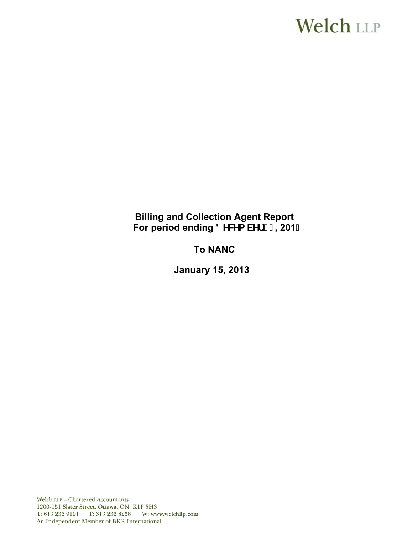# **Welch LLP**

# **Billing and Collection Agent Report**  For period ending 8 YWYa VYf<sup>"</sup> % 201&

# **To NANC**

 **January 15, 2013**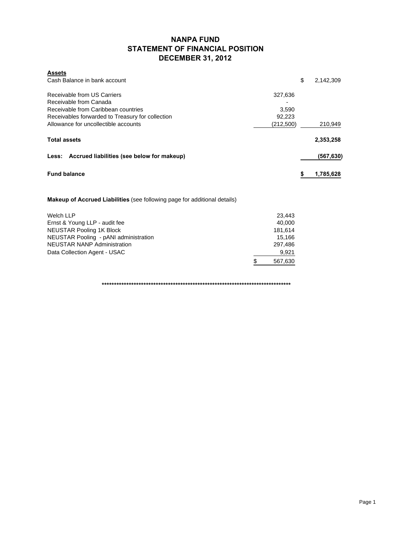### **NANPA FUND STATEMENT OF FINANCIAL POSITION DECEMBER 31, 2012**

| <b>Assets</b>                                                                    |           |    |            |
|----------------------------------------------------------------------------------|-----------|----|------------|
| Cash Balance in bank account                                                     |           | \$ | 2,142,309  |
| Receivable from US Carriers                                                      |           |    |            |
|                                                                                  | 327,636   |    |            |
| Receivable from Canada                                                           |           |    |            |
| Receivable from Caribbean countries                                              | 3,590     |    |            |
| Receivables forwarded to Treasury for collection                                 | 92,223    |    |            |
| Allowance for uncollectible accounts                                             | (212,500) |    | 210,949    |
| <b>Total assets</b>                                                              |           |    | 2,353,258  |
|                                                                                  |           |    |            |
| Less: Accrued liabilities (see below for makeup)                                 |           |    | (567, 630) |
| <b>Fund balance</b>                                                              |           |    |            |
|                                                                                  |           | S  | 1,785,628  |
|                                                                                  |           |    |            |
| <b>Makeup of Accrued Liabilities</b> (see following page for additional details) |           |    |            |
|                                                                                  |           |    |            |

| Welch LLP                             | 23.443  |
|---------------------------------------|---------|
| Ernst & Young LLP - audit fee         | 40.000  |
| <b>NEUSTAR Pooling 1K Block</b>       | 181.614 |
| NEUSTAR Pooling - pANI administration | 15.166  |
| <b>NEUSTAR NANP Administration</b>    | 297.486 |
| Data Collection Agent - USAC          | 9.921   |
|                                       | 567,630 |

**\*\*\*\*\*\*\*\*\*\*\*\*\*\*\*\*\*\*\*\*\*\*\*\*\*\*\*\*\*\*\*\*\*\*\*\*\*\*\*\*\*\*\*\*\*\*\*\*\*\*\*\*\*\*\*\*\*\*\*\*\*\*\*\*\*\*\*\*\*\*\*\*\*\*\*\*\***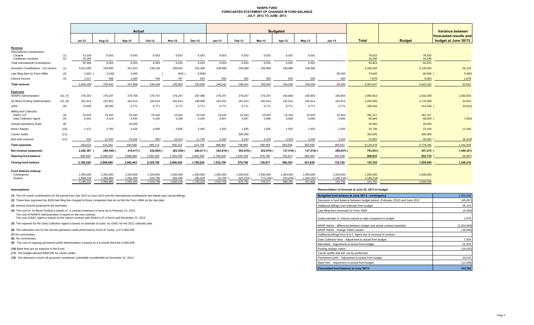#### **NANPA FUND FORECASTED STATEMENT OF CHANGES IN FUND BALANCE JULY 2012 TO JUNE 2013**

|                                                                     |            | Actual                 |                        |                        |                      |                          |                          | <b>Budgeted</b>     |                     |                     |                     |                          |                          |                       |                  | Variance between                               |  |
|---------------------------------------------------------------------|------------|------------------------|------------------------|------------------------|----------------------|--------------------------|--------------------------|---------------------|---------------------|---------------------|---------------------|--------------------------|--------------------------|-----------------------|------------------|------------------------------------------------|--|
|                                                                     |            | <b>Jul-12</b>          | Aug-12                 | Sep-12                 | Oct-12               | <b>Nov-12</b>            | <b>Dec-12</b>            | $Jan-13$            | Feb-13              | <b>Mar-13</b>       | Apr-13              | $May-13$                 | <b>Jun-13</b>            | <b>Total</b>          | <b>Budget</b>    | forecasted results and<br>budget at June 30/13 |  |
| Revenue                                                             |            |                        |                        |                        |                      |                          |                          |                     |                     |                     |                     |                          |                          |                       |                  |                                                |  |
| <b>International Contributions</b><br>Canada<br>Caribbean countries | (1)<br>(1) | 13,106<br>16,290       | 6,553<br>$\sim$        | 6,553<br>$\sim$        | 6,553<br>$\sim$      | 6,553<br>$\sim$          | 6,553<br>$\sim$          | 6,553<br>$\sim$     | 6,553<br>$\sim$     | 6,552<br>$\sim$     | 6,552<br>$\sim$     | 6,552<br>$\sim$          | $\sim$                   | 78,633<br>16,290      | 78,633<br>16,290 | <b>College</b>                                 |  |
| <b>Total International Contributions</b>                            |            | 29,396                 | 6,553                  | 6,553                  | 6,553                | 6,553                    | 6,553                    | 6,553               | 6,553               | 6,552               | 6,552               | 6,552                    | $\overline{\phantom{a}}$ | 94,923                | 94,923           |                                                |  |
| Domestic Contributions - US carrier                                 | (1)        | 2,813,096              | 229,900                | 237,022                | 239,136              | 238,943                  | 232,489                  | 238,988             | 238,988             | 238,988             | 238,988             | 238,988                  |                          | 5,185,526             | 5,139,392        | 46,134                                         |  |
| Late filing fees for Form 499A                                      | (2)        | $1,900$ (              | 3,100                  | 3,000                  |                      | 400)                     | 6,800                    |                     |                     |                     |                     |                          | 85,000                   | 79,600                | 85,000           | 5,400                                          |  |
| Interest income                                                     | (3)        | 1,017                  | 589                    | 1,093                  | 759                  | 767                      | 653                      | 500                 | 500                 | 500                 | 500                 | 500                      | 500                      | 7,878                 | 6,000            | 1,878                                          |  |
| <b>Total revenue</b>                                                |            | 2.845.409              | 233,942                | 247,668                | 246,448              | 245,863                  | 232,895                  | 246.041             | 246,041             | 246,040             | 246,040             | 246,040                  | 85,500                   | 5,367,927             | 5,325,315        | 42,612                                         |  |
| <b>Expenses</b>                                                     |            |                        |                        |                        |                      |                          |                          |                     |                     |                     |                     |                          |                          |                       |                  |                                                |  |
| <b>NANPA Administration</b>                                         | (4), (7)   | 276,207                | 276,207                | 278,756                | 279,757              | 276,207                  | 297,486                  | 276,207             | 276,207             | 276,207             | 160,804             | 160,804                  | 160,804                  | 2,995,653             | 1,632,000        | 1,363,653                                      |  |
| 1K Block Pooling Administration                                     | (4), (8)   | 181,614                | 197,851                | 181,614                | 181,614              | 181,614                  | 190,009                  | 181,614             | 181,614             | 181,614             | 181,614             | 181,614                  | 181,614                  | 2,204,000             | 2,179,368        | 24,632                                         |  |
| pANI                                                                | (9)        | 74,935                 | 38,000                 | 6,771                  | 6,771                | 6,771                    | 6,771                    | 6,771               | 6,771               | 6,771               | 6,771               | 6,771                    | 6,771                    | 180,645               | 214,260          | 33,615)                                        |  |
| <b>Billing and Collection</b><br>Welch LLP                          |            | 23,443                 | 23,443                 | 23,443                 | 23,443               | 23,443                   | 23,443                   | 23,443              | 23,443              | 23,443              | 23,443              | 23,443                   | 23,444                   | 281,317               | 281,317          |                                                |  |
| Data Collection Agent                                               | (4)<br>(5) | 5,042                  | 4,518                  | 4,445                  | 4,420                | 4,268                    | 4,255                    | 5,667               | 5,667               | 5,666               | 5,666               | 5,666                    | 5,666                    | 60,946                | 68,000           | 7,054)                                         |  |
| <b>Annual Operations Audit</b>                                      | (6)        | $\sim$                 |                        | 40,000                 | $\sim$               | $\sim$                   | $\sim$                   | $\sim$              | $\sim$              | $\sim$              | <b>COL</b>          |                          | х.                       | 40,000                | 40,000           |                                                |  |
| <b>Bank Charges</b>                                                 | (10)       | 1,471                  | 5,795                  | 4,424                  | 4.099                | 3.905                    | 3,492                    | 1,925               | 1,925               | 1,925               | 1,925               | 1,925                    | 1,925                    | 34,736                | 23,100           | 11,636                                         |  |
| Carrier Audits                                                      | (11)       | $\sim$                 |                        | $\sim$                 | $\sim$               | $\overline{\phantom{a}}$ | $\overline{\phantom{a}}$ | $\sim$              | 300,000             | $\sim$              | $\sim$              | $\overline{\phantom{a}}$ | $\overline{\phantom{a}}$ | 300,000               | 300,000          |                                                |  |
| Bad debt expense                                                    | (12)       | 310                    | 21,532                 | 24,632                 | 991                  | 13,014                   | 11,750                   | 3,333               | 3,333               | 3,333               | 3,333               | 3,333                    | 3,333                    | 23,681                | 40,000           | 16,319                                         |  |
| <b>Total expenses</b>                                               |            | 563,022                | 524,282                | 564,085                | 499,113              | 509,222                  | 513,706                  | 498,960             | 798,960             | 498,959             | 383,556             | 383,556                  | 383,557                  | 6,120,978             | 4,778,045        | 1,342,933                                      |  |
| Net revenue (expenses)                                              |            | 2,282,387              | 290,340)               | 316,417) (             | 252,665)             | 263,359)                 | 280,811)                 | 252,919)            | 552,919) (          | 252,919)            | 137,516)            | 137,516) (               | 298,057) (               | 753,051)              | 547,270          | 1,300,321)                                     |  |
| <b>Opening fund balance</b>                                         |            | 906.833                | 3,189,220              | 2,898,880              | 2,582,463            | 2,329,798                | 2,066,439                | 1,785,628           | 1,532,709           | 979,790             | 726,871             | 589,355                  | 451,839                  | 906,833               | 952,730          | 45,897                                         |  |
| <b>Closing fund balance</b>                                         |            | 3,189,220              | 2,898,880              | 2,582,463              | 2,329,798            | 2,066,439                | 1,785,628                | 1,532,709           | 979,790             | 726,871             | 589,355             | 451,839                  | 153,782                  | 153,782               | 1,500,000        | 1,346,218                                      |  |
| Fund balance makeup:                                                |            |                        |                        |                        |                      |                          |                          |                     |                     |                     |                     |                          |                          |                       |                  |                                                |  |
| Contingency                                                         |            | 1.500.000              | 1,500,000              | 1,500,000              | 1,500,000            | 1,500,000                | 1,500,000                | 1,500,000           | 1,500,000           | 1,500,000           | 1,500,000           | 1,500,000                | 1,500,000                | 1,500,000             | 1,500,000        |                                                |  |
| Surplus                                                             |            | 1.689.220<br>3,189,220 | 1,398,880<br>2,898,880 | 1,082,463<br>2,582,463 | 829,798<br>2,329,798 | 566,439<br>2,066,439     | 285,628<br>1,785,628     | 32,709<br>1,532,709 | 520,210)<br>979,790 | 773,129)<br>726,871 | 910,645)<br>589,355 | 1,048,161<br>451,839     | 1,346,218)<br>153,782    | 1,346,218)<br>153,782 | 1,500,000        |                                                |  |
|                                                                     |            |                        |                        |                        |                      |                          |                          |                     |                     |                     |                     |                          |                          |                       |                  |                                                |  |

**(8)** No commentary

#### **Assumptions: Reconciliation of forecast at June 30, 2013 to budget**

| (1) The US carrier contributions for the period from July 2012 to June 2013 and the International contributions are based upon actual billings.                           | Budgeted fund balance at June 30/13 - contingency                            | 1,500,000     |
|---------------------------------------------------------------------------------------------------------------------------------------------------------------------------|------------------------------------------------------------------------------|---------------|
| (2) These fees represent the \$100 late filing fee charged to those companies that do not file the Form 499A by the due date.                                             | Decrease in fund balance between budget period (February 2012) and June 2012 | (45, 897)     |
| (3) Interest income projections are estimates                                                                                                                             | Additional billings over estimate from budget                                | 46.134        |
| (4) The cost for 1K Block Pooling is based on a contract extension in force up to February 14, 2013.                                                                      | Late filing fees (reversal) for Form 499A                                    | (5,400)       |
| The cost of NANPA Administration is based on the new contract.<br>The cost of B&C Agent is based on the interim contract with Welch LLP in force until December 31, 2012. | Underestimate of interest earned to date compared to budget                  | 1,878         |
| (5) The expense for the Data Collection Agent is based on estimate of costs by USAC for the 2012 calendar year.                                                           | NANP Admin - difference between budget and actual contract awarded           | (1, 344, 663) |
| (6) The estimated cost for the annual operations audit performed by Ernst & Young LLP is \$40,000.                                                                        | NANP Admin - change orders issued                                            | (18,990)      |
| (7) No commentary                                                                                                                                                         | Additional billings from B & C Agent due to renewal of contract              |               |
| (8) No commentary                                                                                                                                                         | Data Collection fees - Adiustment to actual from budget                      | 7,054         |
| (9) The cost of ongoing permanent pANI administration is based on a 6-month fixed fee of \$40,628                                                                         | Bad debts - Adjustment to actual from budget                                 | 16,319        |
| (10) Bank fees are an expense to the Fund.                                                                                                                                | Pooling change orders                                                        | (24, 632)     |
| (11) The budget allowed \$300,000 for carrier audits.                                                                                                                     | Carrier audits that will not be performed                                    |               |
| (12) The allowance covers all accounts considered potentially uncollectible at December 31, 2012.                                                                         | Permanent pANi - Adiustment to actual from budget                            | 33,615        |
|                                                                                                                                                                           | Bank fees - Adjustment to actual from budget                                 | (11, 636)     |
|                                                                                                                                                                           | Forecasted fund balance at June 30/13                                        | 153,782       |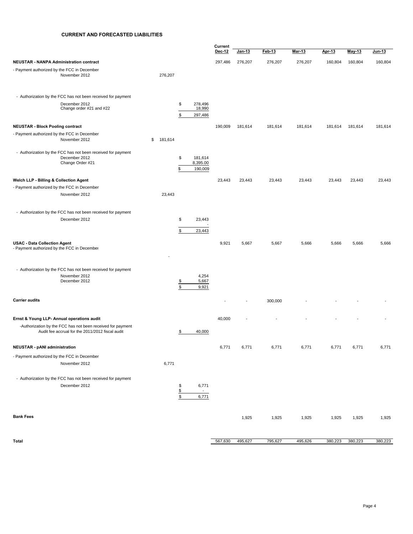#### **CURRENT AND FORECASTED LIABILITIES**

|                                                                                                                 |               |                           |                              | Current<br>Dec-12 | <u>Jan-13</u> | Feb-13  | Mar-13  | Apr-13  | May 13  | Jun-13  |
|-----------------------------------------------------------------------------------------------------------------|---------------|---------------------------|------------------------------|-------------------|---------------|---------|---------|---------|---------|---------|
|                                                                                                                 |               |                           |                              |                   |               |         |         |         |         |         |
| <b>NEUSTAR - NANPA Administration contract</b><br>- Payment authorized by the FCC in December                   |               |                           |                              | 297,486           | 276,207       | 276,207 | 276,207 | 160,804 | 160,804 | 160,804 |
| November 2012                                                                                                   | 276,207       |                           |                              |                   |               |         |         |         |         |         |
| - Authorization by the FCC has not been received for payment                                                    |               |                           |                              |                   |               |         |         |         |         |         |
| December 2012<br>Change order #21 and #22                                                                       |               | \$<br>\$                  | 278,496<br>18,990<br>297,486 |                   |               |         |         |         |         |         |
| <b>NEUSTAR - Block Pooling contract</b>                                                                         |               |                           |                              | 190,009           | 181,614       | 181,614 | 181,614 | 181,614 | 181,614 | 181,614 |
| - Payment authorized by the FCC in December<br>November 2012                                                    | 181,614<br>\$ |                           |                              |                   |               |         |         |         |         |         |
|                                                                                                                 |               |                           |                              |                   |               |         |         |         |         |         |
| - Authorization by the FCC has not been received for payment<br>December 2012                                   |               | \$                        | 181,614                      |                   |               |         |         |         |         |         |
| Change Order #21                                                                                                |               | \$                        | 8,395.00<br>190,009          |                   |               |         |         |         |         |         |
| Welch LLP - Billing & Collection Agent                                                                          |               |                           |                              | 23,443            | 23,443        | 23,443  | 23,443  | 23,443  | 23,443  | 23,443  |
| - Payment authorized by the FCC in December                                                                     |               |                           |                              |                   |               |         |         |         |         |         |
| November 2012                                                                                                   | 23,443        |                           |                              |                   |               |         |         |         |         |         |
| - Authorization by the FCC has not been received for payment                                                    |               |                           |                              |                   |               |         |         |         |         |         |
| December 2012                                                                                                   |               | \$                        | 23,443                       |                   |               |         |         |         |         |         |
|                                                                                                                 |               | \$                        | 23,443                       |                   |               |         |         |         |         |         |
| <b>USAC - Data Collection Agent</b><br>- Payment authorized by the FCC in December                              |               |                           |                              | 9,921             | 5,667         | 5,667   | 5,666   | 5,666   | 5,666   | 5,666   |
| - Authorization by the FCC has not been received for payment<br>November 2012<br>December 2012                  |               | \$<br>\$                  | 4,254<br>5,667<br>9,921      |                   |               |         |         |         |         |         |
| <b>Carrier audits</b>                                                                                           |               |                           |                              |                   |               | 300,000 |         |         |         |         |
| Ernst & Young LLP- Annual operations audit                                                                      |               |                           |                              | 40,000            |               |         |         |         |         |         |
| -Authorization by the FCC has not been received for payment<br>Audit fee accrual for the 2011/2012 fiscal audit |               | \$                        | 40,000                       |                   |               |         |         |         |         |         |
| NEUSTAR - pANI administration                                                                                   |               |                           |                              |                   |               |         |         |         | 6,771   | 6,771   |
| - Payment authorized by the FCC in December                                                                     |               |                           |                              | 6,771             | 6,771         | 6,771   | 6,771   | 6,771   |         |         |
| November 2012                                                                                                   | 6,771         |                           |                              |                   |               |         |         |         |         |         |
| - Authorization by the FCC has not been received for payment<br>December 2012                                   |               | \$<br>$\frac{1}{2}$<br>\$ | 6,771<br>$\sim$<br>6,771     |                   |               |         |         |         |         |         |
| <b>Bank Fees</b>                                                                                                |               |                           |                              |                   | 1,925         | 1,925   | 1,925   | 1,925   | 1,925   | 1,925   |
| Total                                                                                                           |               |                           |                              | 567,630           | 495,627       | 795,627 | 495,626 | 380,223 | 380,223 | 380,223 |